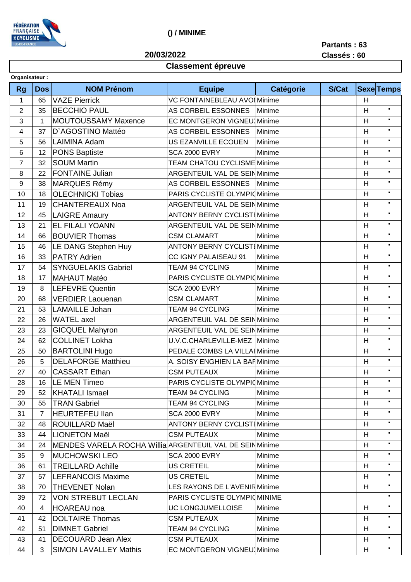

## () / MINIME

20/03/2022

Partants: 63

## **Classement épreuve**

|  | ----------- |  | __          |  |
|--|-------------|--|-------------|--|
|  |             |  | Classés: 60 |  |

|                | Organisateur: |                                                          |                                     |           |       |                           |                   |  |
|----------------|---------------|----------------------------------------------------------|-------------------------------------|-----------|-------|---------------------------|-------------------|--|
| <b>Rg</b>      | <b>Dos</b>    | <b>NOM Prénom</b>                                        | <b>Equipe</b>                       | Catégorie | S/Cat |                           | <b>Sexe</b> Temps |  |
| 1              | 65            | <b>VAZE Pierrick</b>                                     | VC FONTAINEBLEAU AVOI Minime        |           |       | H                         |                   |  |
| $\overline{2}$ | 35            | <b>BECCHIO PAUL</b>                                      | AS CORBEIL ESSONNES                 | Minime    |       | H                         | $\mathbf{H}$      |  |
| 3              | 1             | MOUTOUSSAMY Maxence                                      | EC MONTGERON VIGNEU Minime          |           |       | H                         | $\mathbf H$       |  |
| 4              | 37            | D'AGOSTINO Mattéo                                        | AS CORBEIL ESSONNES                 | Minime    |       | H                         | $\mathbf H$       |  |
| 5              | 56            | LAIMINA Adam                                             | US EZANVILLE ECOUEN                 | Minime    |       | H                         | $\mathbf H$       |  |
| 6              | 12            | <b>PONS Baptiste</b>                                     | <b>SCA 2000 EVRY</b>                | Minime    |       | H                         | $\mathbf H$       |  |
| $\overline{7}$ | 32            | <b>SOUM Martin</b>                                       | <b>TEAM CHATOU CYCLISME Minime</b>  |           |       | H                         | $\mathbf H$       |  |
| 8              | 22            | <b>FONTAINE Julian</b>                                   | ARGENTEUIL VAL DE SEIN Minime       |           |       | H                         | $\mathbf{H}$      |  |
| 9              | 38            | <b>MARQUES Rémy</b>                                      | AS CORBEIL ESSONNES                 | Minime    |       | H                         | $\mathbf H$       |  |
| 10             | 18            | <b>OLECHNICKI Tobias</b>                                 | PARIS CYCLISTE OLYMPIOMinime        |           |       | Н                         | $\mathbf{H}$      |  |
| 11             | 19            | <b>CHANTEREAUX Noa</b>                                   | ARGENTEUIL VAL DE SEINMinime        |           |       | H                         | $\mathbf H$       |  |
| 12             | 45            | <b>LAIGRE Amaury</b>                                     | <b>ANTONY BERNY CYCLIST [Minime</b> |           |       | Н                         | $\mathbf{H}$      |  |
| 13             | 21            | <b>EL FILALI YOANN</b>                                   | ARGENTEUIL VAL DE SEIN Minime       |           |       | H                         | $\mathbf H$       |  |
| 14             | 66            | <b>BOUVIER Thomas</b>                                    | <b>CSM CLAMART</b>                  | Minime    |       | H                         | $\mathbf{H}$      |  |
| 15             | 46            | LE DANG Stephen Huy                                      | ANTONY BERNY CYCLIST Minime         |           |       | H                         | $\mathbf H$       |  |
| 16             | 33            | <b>PATRY Adrien</b>                                      | CC IGNY PALAISEAU 91                | Minime    |       | H                         | $\mathbf H$       |  |
| 17             | 54            | <b>SYNGUELAKIS Gabriel</b>                               | <b>TEAM 94 CYCLING</b>              | Minime    |       | H                         | $\mathbf H$       |  |
| 18             | 17            | <b>MAHAUT Matéo</b>                                      | PARIS CYCLISTE OLYMPIC Minime       |           |       | H                         | $\mathbf{H}$      |  |
| 19             | 8             | <b>LEFEVRE Quentin</b>                                   | <b>SCA 2000 EVRY</b>                | Minime    |       | H                         | $\mathbf H$       |  |
| 20             | 68            | <b>VERDIER Laouenan</b>                                  | <b>CSM CLAMART</b>                  | Minime    |       | H                         | $\mathbf H$       |  |
| 21             | 53            | <b>LAMAILLE Johan</b>                                    | <b>TEAM 94 CYCLING</b>              | Minime    |       | H                         | $\mathbf H$       |  |
| 22             | 26            | <b>WATEL</b> axel                                        | ARGENTEUIL VAL DE SEINMinime        |           |       | H                         | $\mathbf H$       |  |
| 23             | 23            | <b>GICQUEL Mahyron</b>                                   | <b>ARGENTEUIL VAL DE SEINMinime</b> |           |       | H                         | $\mathbf H$       |  |
| 24             | 62            | <b>COLLINET Lokha</b>                                    | U.V.C.CHARLEVILLE-MEZ Minime        |           |       | H                         | $\mathbf H$       |  |
| 25             | 50            | <b>BARTOLINI Hugo</b>                                    | PEDALE COMBS LA VILLAI Minime       |           |       | H                         | $\mathbf H$       |  |
| 26             | 5             | <b>DELAFORGE Matthieu</b>                                | A. SOISY ENGHIEN LA BARMinime       |           |       | H                         | $\mathbf H$       |  |
| 27             | 40            | <b>CASSART Ethan</b>                                     | <b>CSM PUTEAUX</b>                  | Minime    |       | H                         | $\mathbf H$       |  |
| 28             | 16            | LE MEN Timeo                                             | PARIS CYCLISTE OLYMPIO Minime       |           |       | $\boldsymbol{\mathsf{H}}$ | $\mathbf{H}$      |  |
| 29             | 52            | KHATALI Ismael                                           | <b>TEAM 94 CYCLING</b>              | Minime    |       | H                         | $\mathbf{H}$      |  |
| 30             | 55            | <b>TRAN Gabriel</b>                                      | <b>TEAM 94 CYCLING</b>              | Minime    |       | H                         | $\mathbf H$       |  |
| 31             | 7             | <b>HEURTEFEU llan</b>                                    | <b>SCA 2000 EVRY</b>                | Minime    |       | H                         |                   |  |
| 32             | 48            | ROUILLARD Maël                                           | <b>ANTONY BERNY CYCLISTEMinime</b>  |           |       | H                         | $\mathbf H$       |  |
| 33             | 44            | LIONETON Maël                                            | <b>CSM PUTEAUX</b>                  | Minime    |       | H                         |                   |  |
| 34             | 24            | MENDES VARELA ROCHA Willia ARGENTEUIL VAL DE SEIN Minime |                                     |           |       | H                         | $\mathbf H$       |  |
| 35             | 9             | <b>MUCHOWSKI LEO</b>                                     | SCA 2000 EVRY                       | Minime    |       | H.                        | $\mathbf{H}$      |  |
| 36             | 61            | <b>TREILLARD Achille</b>                                 | US CRETEIL                          | Minime    |       | H                         | $\mathbf H$       |  |
| 37             | 57            | <b>LEFRANCOIS Maxime</b>                                 | <b>US CRETEIL</b>                   | Minime    |       | H                         | $\mathbf{H}$      |  |
| 38             | 70            | <b>THEVENET Nolan</b>                                    | LES RAYONS DE L'AVENIR Minime       |           |       | H                         | $\mathbf H$       |  |
| 39             | 72            | <b>VON STREBUT LECLAN</b>                                | PARIS CYCLISTE OLYMPIOMINIME        |           |       |                           | $\mathbf{H}$      |  |
| 40             | 4             | <b>HOAREAU</b> noa                                       | <b>UC LONGJUMELLOISE</b>            | Minime    |       | H                         | $\mathbf H$       |  |
| 41             | 42            | <b>DOLTAIRE Thomas</b>                                   | <b>CSM PUTEAUX</b>                  | Minime    |       | Н                         | $\mathbf{H}$      |  |
| 42             | 51            | <b>DIMNET Gabriel</b>                                    | <b>TEAM 94 CYCLING</b>              | Minime    |       | H                         | $\mathbf{H}$      |  |
|                |               |                                                          |                                     |           |       |                           | $\mathbf H$       |  |
| 43             | 41            | DECOUARD Jean Alex                                       | <b>CSM PUTEAUX</b>                  | Minime    |       | Н                         | $\mathbf{H}$      |  |
| 44             | 3             | <b>SIMON LAVALLEY Mathis</b>                             | <b>EC MONTGERON VIGNEU</b> Minime   |           |       | Н                         |                   |  |